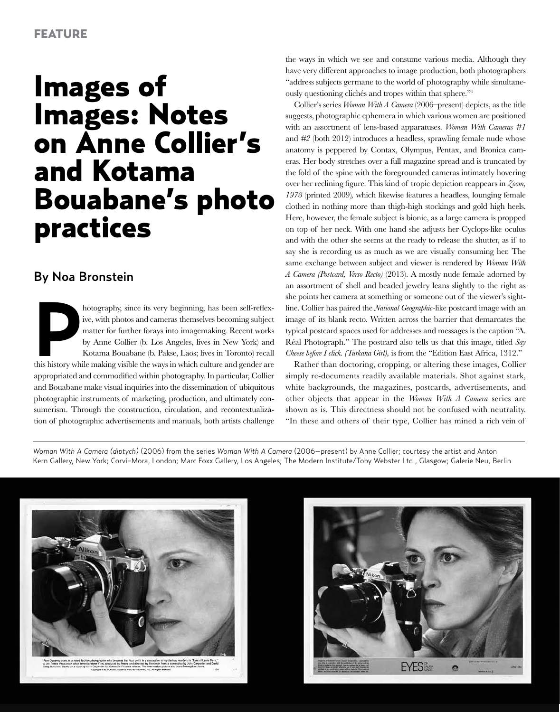## Images of Images: Notes on Anne Collier's and Kotama Bouabane's photo practices

## By Noa Bronstein

*Photography, since its very beginning, has been self-reflex-*<br>
ive, with photos and cameras themselves becoming subject<br>
matter for further forays into imagemaking. Recent works<br>
by Anne Collier (b. Los Angeles, lives in ive, with photos and cameras themselves becoming subject matter for further forays into imagemaking. Recent works by Anne Collier (b. Los Angeles, lives in New York) and Kotama Bouabane (b. Pakse, Laos; lives in Toronto) recall appropriated and commodified within photography. In particular, Collier and Bouabane make visual inquiries into the dissemination of ubiquitous photographic instruments of marketing, production, and ultimately consumerism. Through the construction, circulation, and recontextualization of photographic advertisements and manuals, both artists challenge

the ways in which we see and consume various media. Although they have very different approaches to image production, both photographers "address subjects germane to the world of photography while simultaneously questioning clichés and tropes within that sphere."1

Collier's series *Woman With A Camera* (2006–present) depicts, as the title suggests, photographic ephemera in which various women are positioned with an assortment of lens-based apparatuses. *Woman With Cameras #1*  and *#2* (both 2012) introduces a headless, sprawling female nude whose anatomy is peppered by Contax, Olympus, Pentax, and Bronica cameras. Her body stretches over a full magazine spread and is truncated by the fold of the spine with the foregrounded cameras intimately hovering over her reclining figure. This kind of tropic depiction reappears in *Zoom, 1978* (printed 2009)*,* which likewise features a headless, lounging female clothed in nothing more than thigh-high stockings and gold high heels. Here, however, the female subject is bionic, as a large camera is propped on top of her neck. With one hand she adjusts her Cyclops-like oculus and with the other she seems at the ready to release the shutter, as if to say she is recording us as much as we are visually consuming her. The same exchange between subject and viewer is rendered by *Woman With A Camera (Postcard, Verso Recto)* (2013). A mostly nude female adorned by an assortment of shell and beaded jewelry leans slightly to the right as she points her camera at something or someone out of the viewer's sightline. Collier has paired the *National Geographic-*like postcard image with an image of its blank recto. Written across the barrier that demarcates the typical postcard spaces used for addresses and messages is the caption "A. Réal Photograph." The postcard also tells us that this image, titled *Say Cheese before I click. (Turkana Girl),* is from the "Edition East Africa, 1312."

Rather than doctoring, cropping, or altering these images, Collier simply re-documents readily available materials. Shot against stark, white backgrounds, the magazines, postcards, advertisements, and other objects that appear in the *Woman With A Camera* series are shown as is. This directness should not be confused with neutrality. "In these and others of their type, Collier has mined a rich vein of

*Woman With A Camera (diptych)* (2006) from the series *Woman With A Camera* (2006–present) by Anne Collier; courtesy the artist and Anton Kern Gallery, New York; Corvi-Mora, London; Marc Foxx Gallery, Los Angeles; The Modern Institute/Toby Webster Ltd., Glasgow; Galerie Neu, Berlin



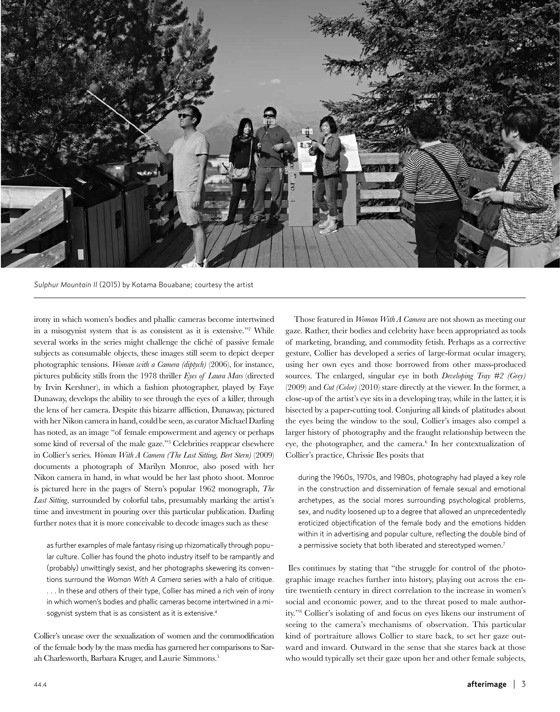

*Sulphur Mountain II* (2015) by Kotama Bouabane; courtesy the artist

irony in which women's bodies and phallic cameras become intertwined in a misogynist system that is as consistent as it is extensive."<sup>2</sup> While several works in the series might challenge the cliché of passive female subjects as consumable objects, these images still seem to depict deeper photographic tensions. *Woman with a Camera (diptych)* (2006), for instance, pictures publicity stills from the 1978 thriller *Eyes of Laura Mars* (directed by Irvin Kershner), in which a fashion photographer, played by Faye Dunaway, develops the ability to see through the eyes of a killer, through the lens of her camera. Despite this bizarre affliction, Dunaway, pictured with her Nikon camera in hand, could be seen, as curator Michael Darling has noted, as an image "of female empowerment and agency or perhaps some kind of reversal of the male gaze."<sup>3</sup> Celebrities reappear elsewhere in Collier's series. *Woman With A Camera (The Last Sitting, Bert Stern)* (2009) documents a photograph of Marilyn Monroe, also posed with her Nikon camera in hand, in what would be her last photo shoot. Monroe is pictured here in the pages of Stern's popular 1962 monograph, *The Last Sitting*, surrounded by colorful tabs, presumably marking the artist's time and investment in pouring over this particular publication. Darling further notes that it is more conceivable to decode images such as these

as further examples of male fantasy rising up rhizomatically through popular culture. Collier has found the photo industry itself to be rampantly and (probably) unwittingly sexist, and her photographs skewering its conventions surround the *Woman With A Camera* series with a halo of critique. . . . In these and others of their type, Collier has mined a rich vein of irony in which women's bodies and phallic cameras become intertwined in a misogynist system that is as consistent as it is extensive.<sup>4</sup>

Collier's unease over the sexualization of women and the commodification of the female body by the mass media has garnered her comparisons to Sarah Charlesworth, Barbara Kruger, and Laurie Simmons.5

Those featured in *Woman With A Camera* are not shown as meeting our gaze. Rather, their bodies and celebrity have been appropriated as tools of marketing, branding, and commodity fetish. Perhaps as a corrective gesture, Collier has developed a series of large-format ocular imagery, using her own eyes and those borrowed from other mass-produced sources. The enlarged, singular eye in both *Developing Tray #2 (Grey)* (2009) and *Cut (Color)* (2010) stare directly at the viewer. In the former, a close-up of the artist's eye sits in a developing tray, while in the latter, it is bisected by a paper-cutting tool. Conjuring all kinds of platitudes about the eyes being the window to the soul, Collier's images also compel a larger history of photography and the fraught relationship between the eye, the photographer, and the camera.<sup>6</sup> In her contextualization of Collier's practice, Chrissie Iles posits that

during the 1960s, 1970s, and 1980s, photography had played a key role in the construction and dissemination of female sexual and emotional archetypes, as the social mores surrounding psychological problems, sex, and nudity loosened up to a degree that allowed an unprecedentedly eroticized objectification of the female body and the emotions hidden within it in advertising and popular culture, reflecting the double bind of a permissive society that both liberated and stereotyped women.<sup>7</sup>

Iles continues by stating that "the struggle for control of the photographic image reaches further into history, playing out across the entire twentieth century in direct correlation to the increase in women's social and economic power, and to the threat posed to male authority."8 Collier's isolating of and focus on eyes likens our instrument of seeing to the camera's mechanisms of observation. This particular kind of portraiture allows Collier to stare back, to set her gaze outward and inward. Outward in the sense that she stares back at those who would typically set their gaze upon her and other female subjects,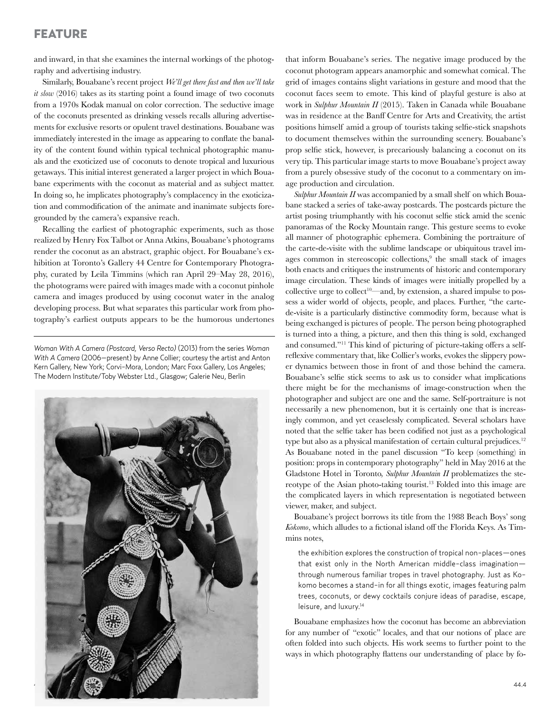## FEATURE

and inward, in that she examines the internal workings of the photography and advertising industry.

Similarly, Bouabane's recent project *We'll get there fast and then we'll take it slow* (2016) takes as its starting point a found image of two coconuts from a 1970s Kodak manual on color correction. The seductive image of the coconuts presented as drinking vessels recalls alluring advertisements for exclusive resorts or opulent travel destinations. Bouabane was immediately interested in the image as appearing to conflate the banality of the content found within typical technical photographic manuals and the exoticized use of coconuts to denote tropical and luxurious getaways. This initial interest generated a larger project in which Bouabane experiments with the coconut as material and as subject matter. In doing so, he implicates photography's complacency in the exoticization and commodification of the animate and inanimate subjects foregrounded by the camera's expansive reach.

Recalling the earliest of photographic experiments, such as those realized by Henry Fox Talbot or Anna Atkins, Bouabane's photograms render the coconut as an abstract, graphic object. For Bouabane's exhibition at Toronto's Gallery 44 Centre for Contemporary Photography, curated by Leila Timmins (which ran April 29–May 28, 2016), the photograms were paired with images made with a coconut pinhole camera and images produced by using coconut water in the analog developing process. But what separates this particular work from photography's earliest outputs appears to be the humorous undertones

*Woman With A Camera (Postcard, Verso Recto)* (2013) from the series *Woman With A Camera* (2006–present) by Anne Collier; courtesy the artist and Anton Kern Gallery, New York; Corvi-Mora, London; Marc Foxx Gallery, Los Angeles; The Modern Institute/Toby Webster Ltd., Glasgow; Galerie Neu, Berlin



that inform Bouabane's series. The negative image produced by the coconut photogram appears anamorphic and somewhat comical. The grid of images contains slight variations in gesture and mood that the coconut faces seem to emote. This kind of playful gesture is also at work in *Sulphur Mountain II* (2015). Taken in Canada while Bouabane was in residence at the Banff Centre for Arts and Creativity, the artist positions himself amid a group of tourists taking selfie-stick snapshots to document themselves within the surrounding scenery. Bouabane's prop selfie stick, however, is precariously balancing a coconut on its very tip. This particular image starts to move Bouabane's project away from a purely obsessive study of the coconut to a commentary on image production and circulation.

*Sulphur Mountain II* was accompanied by a small shelf on which Bouabane stacked a series of take-away postcards. The postcards picture the artist posing triumphantly with his coconut selfie stick amid the scenic panoramas of the Rocky Mountain range. This gesture seems to evoke all manner of photographic ephemera. Combining the portraiture of the carte-de-visite with the sublime landscape or ubiquitous travel images common in stereoscopic collections,<sup>9</sup> the small stack of images both enacts and critiques the instruments of historic and contemporary image circulation. These kinds of images were initially propelled by a collective urge to collect<sup>10—</sup>and, by extension, a shared impulse to possess a wider world of objects, people, and places. Further, "the cartede-visite is a particularly distinctive commodity form, because what is being exchanged is pictures of people. The person being photographed is turned into a thing, a picture, and then this thing is sold, exchanged and consumed."11 This kind of picturing of picture-taking offers a selfreflexive commentary that, like Collier's works, evokes the slippery power dynamics between those in front of and those behind the camera. Bouabane's selfie stick seems to ask us to consider what implications there might be for the mechanisms of image-construction when the photographer and subject are one and the same. Self-portraiture is not necessarily a new phenomenon, but it is certainly one that is increasingly common, and yet ceaselessly complicated. Several scholars have noted that the selfie taker has been codified not just as a psychological type but also as a physical manifestation of certain cultural prejudices.<sup>12</sup> As Bouabane noted in the panel discussion "To keep (something) in position: props in contemporary photography" held in May 2016 at the Gladstone Hotel in Toronto*, Sulphur Mountain II* problematizes the stereotype of the Asian photo-taking tourist.13 Folded into this image are the complicated layers in which representation is negotiated between viewer, maker, and subject.

Bouabane's project borrows its title from the 1988 Beach Boys' song *Kokomo*, which alludes to a fictional island off the Florida Keys. As Timmins notes,

the exhibition explores the construction of tropical non-places—ones that exist only in the North American middle-class imagination through numerous familiar tropes in travel photography. Just as Kokomo becomes a stand-in for all things exotic, images featuring palm trees, coconuts, or dewy cocktails conjure ideas of paradise, escape, leisure, and luxury.<sup>14</sup>

Bouabane emphasizes how the coconut has become an abbreviation for any number of "exotic" locales, and that our notions of place are often folded into such objects. His work seems to further point to the ways in which photography flattens our understanding of place by fo